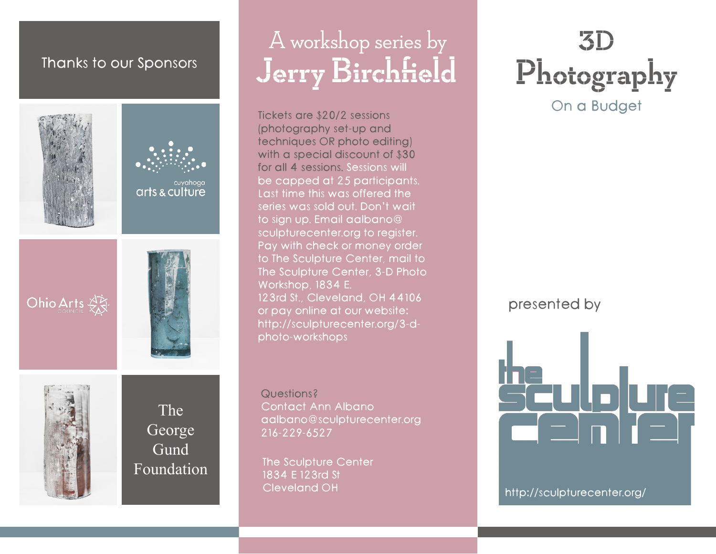### Thanks to our Sponsors



## A workshop series by Jerry Birchfield

Tickets are \$20/2 sessions (photography set-up and techniques OR photo editing) with a special discount of \$30 for all 4 sessions. Sessions will be capped at 25 participants. Last time this was offered the series was sold out. Don't wait to sign up. Email aalbano@ sculpturecenter.org to register. Pay with check or money order to The Sculpture Center, mail to The Sculpture Center, 3-D Photo Workshop, 1834 E. 123rd St., Cleveland, OH 44106 or pay online at our website: http://sculpturecenter.org/3-dphoto-workshops

Questions? Contact Ann Albano aalbano@sculpturecenter.org 216-229-6527

The Sculpture Center 1834 E 123rd St Cleveland OH

## 3D On a Budget Photography

presented by

Sculplure<br>Celin Ieli

http://sculpturecenter.org/